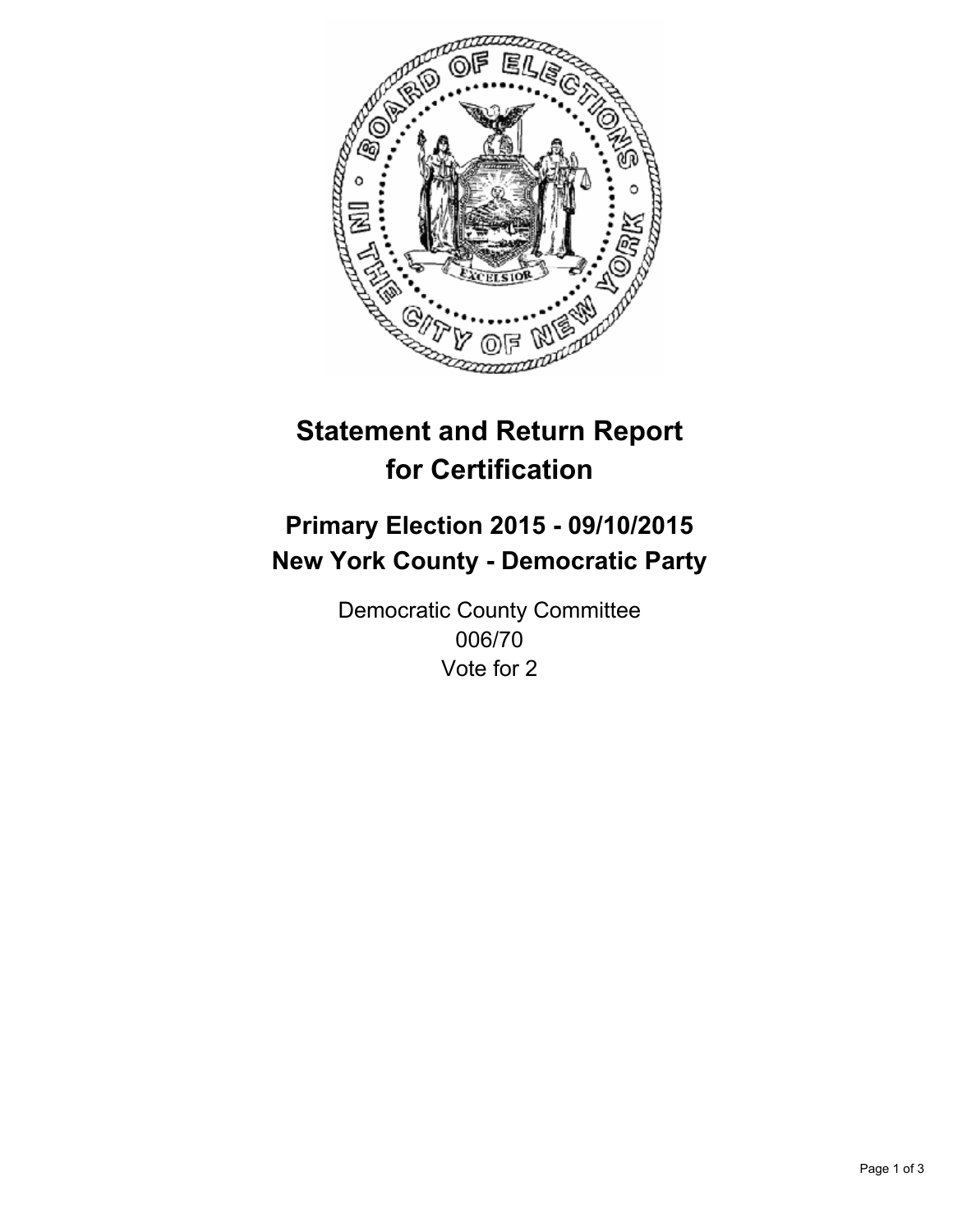

# **Statement and Return Report for Certification**

## **Primary Election 2015 - 09/10/2015 New York County - Democratic Party**

Democratic County Committee 006/70 Vote for 2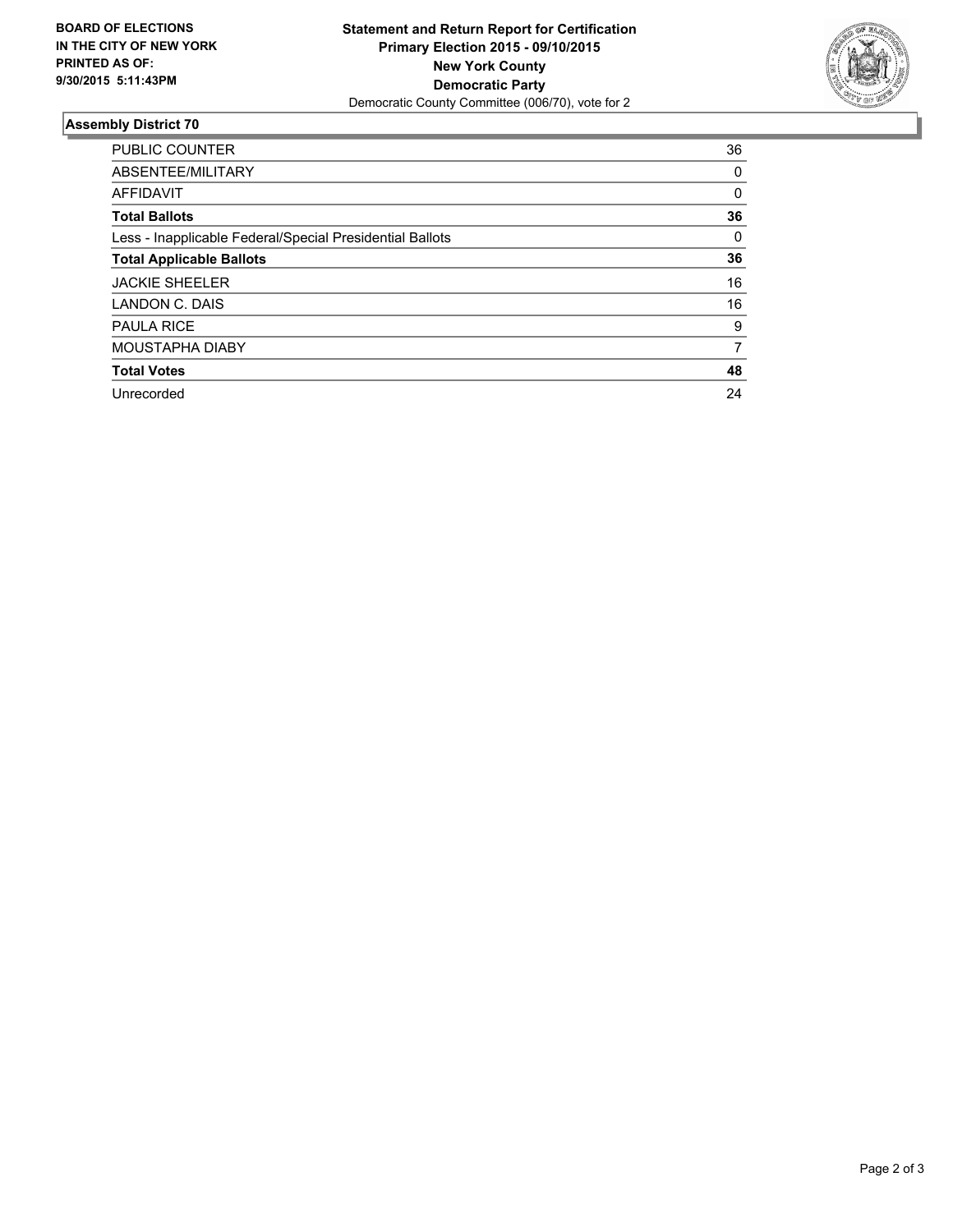

#### **Assembly District 70**

| <b>PUBLIC COUNTER</b>                                    | 36 |
|----------------------------------------------------------|----|
| ABSENTEE/MILITARY                                        | 0  |
| <b>AFFIDAVIT</b>                                         | 0  |
| <b>Total Ballots</b>                                     | 36 |
| Less - Inapplicable Federal/Special Presidential Ballots | 0  |
| <b>Total Applicable Ballots</b>                          | 36 |
| <b>JACKIE SHEELER</b>                                    | 16 |
| LANDON C. DAIS                                           | 16 |
| <b>PAULA RICE</b>                                        | 9  |
| MOUSTAPHA DIABY                                          | 7  |
| <b>Total Votes</b>                                       | 48 |
| Unrecorded                                               | 24 |